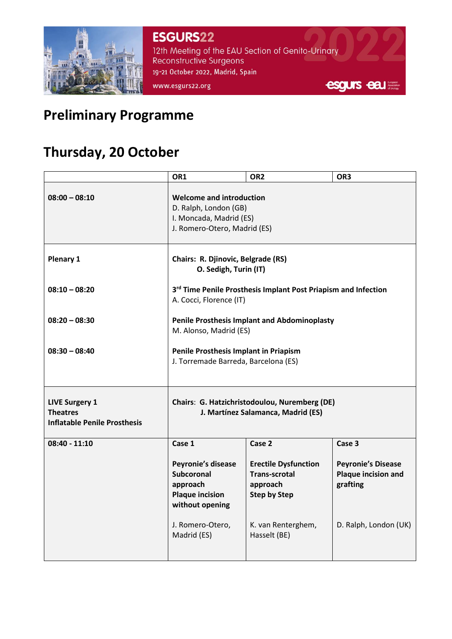

**ESGURS22** 12th Meeting of the EAU Section of Genito-Urinary **Reconstructive Surgeons** 19-21 October 2022, Madrid, Spain www.esgurs22.org



# **Preliminary Programme**

## **Thursday, 20 October**

|                                                                                 | OR1                                                                                                                 | OR <sub>2</sub>                                                                        | OR <sub>3</sub>                                                     |
|---------------------------------------------------------------------------------|---------------------------------------------------------------------------------------------------------------------|----------------------------------------------------------------------------------------|---------------------------------------------------------------------|
| $08:00 - 08:10$                                                                 | <b>Welcome and introduction</b><br>D. Ralph, London (GB)<br>I. Moncada, Madrid (ES)<br>J. Romero-Otero, Madrid (ES) |                                                                                        |                                                                     |
| Plenary 1                                                                       | Chairs: R. Djinovic, Belgrade (RS)<br>O. Sedigh, Turin (IT)                                                         |                                                                                        |                                                                     |
| $08:10 - 08:20$                                                                 | 3rd Time Penile Prosthesis Implant Post Priapism and Infection<br>A. Cocci, Florence (IT)                           |                                                                                        |                                                                     |
| $08:20 - 08:30$                                                                 | <b>Penile Prosthesis Implant and Abdominoplasty</b><br>M. Alonso, Madrid (ES)                                       |                                                                                        |                                                                     |
| $08:30 - 08:40$                                                                 | Penile Prosthesis Implant in Priapism<br>J. Torremade Barreda, Barcelona (ES)                                       |                                                                                        |                                                                     |
| <b>LIVE Surgery 1</b><br><b>Theatres</b><br><b>Inflatable Penile Prosthesis</b> | Chairs: G. Hatzichristodoulou, Nuremberg (DE)<br>J. Martínez Salamanca, Madrid (ES)                                 |                                                                                        |                                                                     |
| $08:40 - 11:10$                                                                 | Case 1                                                                                                              | Case 2                                                                                 | Case 3                                                              |
|                                                                                 | Peyronie's disease<br><b>Subcoronal</b><br>approach<br><b>Plaque incision</b><br>without opening                    | <b>Erectile Dysfunction</b><br><b>Trans-scrotal</b><br>approach<br><b>Step by Step</b> | <b>Peyronie's Disease</b><br><b>Plaque incision and</b><br>grafting |
|                                                                                 | J. Romero-Otero,<br>Madrid (ES)                                                                                     | K. van Renterghem,<br>Hasselt (BE)                                                     | D. Ralph, London (UK)                                               |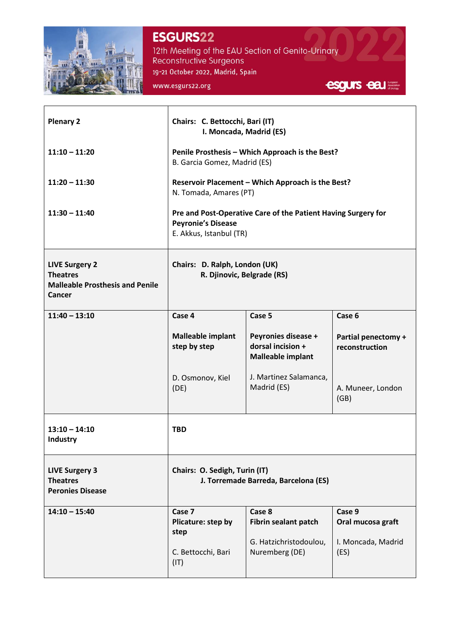

#### **ESGURS22**

www.esgurs22.org

12th Meeting of the EAU Section of Genito-Urinary<br>Reconstructive Surgeons 19-21 October 2022, Madrid, Spain

| <b>Plenary 2</b><br>$11:10 - 11:20$<br>$11:20 - 11:30$<br>$11:30 - 11:40$                    | Chairs: C. Bettocchi, Bari (IT)<br>I. Moncada, Madrid (ES)<br>Penile Prosthesis - Which Approach is the Best?<br>B. Garcia Gomez, Madrid (ES)<br>Reservoir Placement - Which Approach is the Best?<br>N. Tomada, Amares (PT)<br>Pre and Post-Operative Care of the Patient Having Surgery for<br><b>Peyronie's Disease</b><br>E. Akkus, Istanbul (TR) |                                                                            |                                                           |
|----------------------------------------------------------------------------------------------|-------------------------------------------------------------------------------------------------------------------------------------------------------------------------------------------------------------------------------------------------------------------------------------------------------------------------------------------------------|----------------------------------------------------------------------------|-----------------------------------------------------------|
| <b>LIVE Surgery 2</b><br><b>Theatres</b><br><b>Malleable Prosthesis and Penile</b><br>Cancer | Chairs: D. Ralph, London (UK)<br>R. Djinovic, Belgrade (RS)                                                                                                                                                                                                                                                                                           |                                                                            |                                                           |
| $11:40 - 13:10$                                                                              | Case 4<br><b>Malleable implant</b><br>step by step                                                                                                                                                                                                                                                                                                    | Case 5<br>Peyronies disease +<br>dorsal incision +                         | Case 6<br>Partial penectomy +<br>reconstruction           |
|                                                                                              | D. Osmonov, Kiel<br>(DE)                                                                                                                                                                                                                                                                                                                              | <b>Malleable implant</b><br>J. Martinez Salamanca,<br>Madrid (ES)          | A. Muneer, London<br>(GB)                                 |
| $13:10 - 14:10$<br>Industry                                                                  | <b>TBD</b>                                                                                                                                                                                                                                                                                                                                            |                                                                            |                                                           |
| <b>LIVE Surgery 3</b><br><b>Theatres</b><br><b>Peronies Disease</b>                          | Chairs: O. Sedigh, Turin (IT)<br>J. Torremade Barreda, Barcelona (ES)                                                                                                                                                                                                                                                                                 |                                                                            |                                                           |
| $14:10 - 15:40$                                                                              | Case 7<br>Plicature: step by<br>step<br>C. Bettocchi, Bari                                                                                                                                                                                                                                                                                            | Case 8<br>Fibrin sealant patch<br>G. Hatzichristodoulou,<br>Nuremberg (DE) | Case 9<br>Oral mucosa graft<br>I. Moncada, Madrid<br>(ES) |
|                                                                                              | (IT)                                                                                                                                                                                                                                                                                                                                                  |                                                                            |                                                           |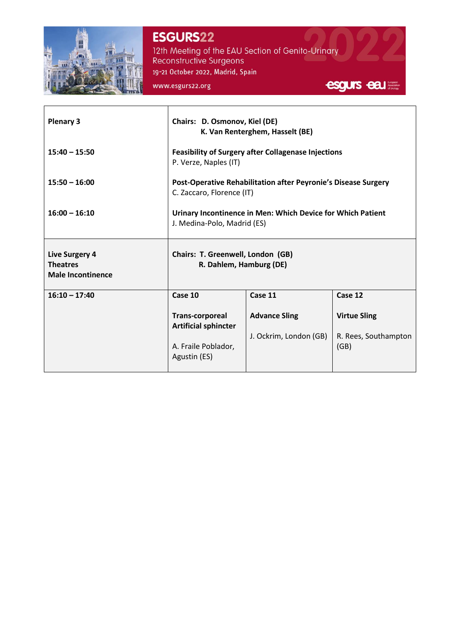

### **ESGURS22**

12th Meeting of the EAU Section of Genito-Urinary<br>Reconstructive Surgeons 19-21 October 2022, Madrid, Spain

www.esgurs22.org



| <b>Plenary 3</b>                                                     | Chairs: D. Osmonov, Kiel (DE)<br>K. Van Renterghem, Hasselt (BE)                            |                        |                              |
|----------------------------------------------------------------------|---------------------------------------------------------------------------------------------|------------------------|------------------------------|
| $15:40 - 15:50$                                                      | <b>Feasibility of Surgery after Collagenase Injections</b><br>P. Verze, Naples (IT)         |                        |                              |
| $15:50 - 16:00$                                                      | Post-Operative Rehabilitation after Peyronie's Disease Surgery<br>C. Zaccaro, Florence (IT) |                        |                              |
| $16:00 - 16:10$                                                      | Urinary Incontinence in Men: Which Device for Which Patient<br>J. Medina-Polo, Madrid (ES)  |                        |                              |
| <b>Live Surgery 4</b><br><b>Theatres</b><br><b>Male Incontinence</b> | Chairs: T. Greenwell, London (GB)<br>R. Dahlem, Hamburg (DE)                                |                        |                              |
| $16:10 - 17:40$                                                      | Case 10                                                                                     | Case 11                | Case 12                      |
|                                                                      | <b>Trans-corporeal</b><br><b>Artificial sphincter</b>                                       | <b>Advance Sling</b>   | <b>Virtue Sling</b>          |
|                                                                      | A. Fraile Poblador,<br>Agustin (ES)                                                         | J. Ockrim, London (GB) | R. Rees, Southampton<br>(GB) |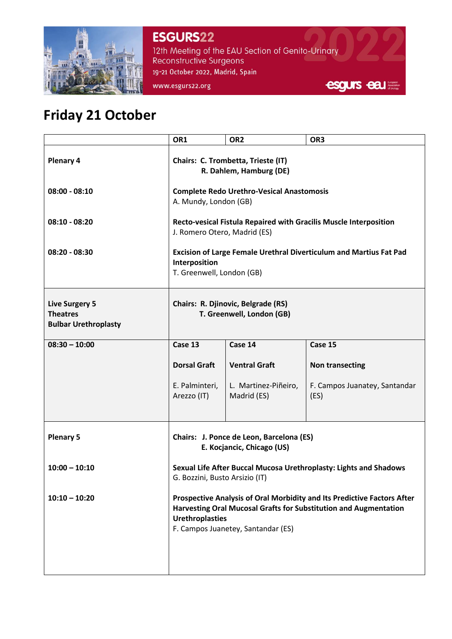

**ESGURS22** 12th Meeting of the EAU Section of Genito-Urinary Reconstructive Surgeons 19-21 October 2022, Madrid, Spain www.esgurs22.org



# **Friday 21 October**

|                                                                         | OR1                                                                                                                                                                                                         | OR <sub>2</sub>                     | OR3                                   |
|-------------------------------------------------------------------------|-------------------------------------------------------------------------------------------------------------------------------------------------------------------------------------------------------------|-------------------------------------|---------------------------------------|
| Plenary 4                                                               | Chairs: C. Trombetta, Trieste (IT)<br>R. Dahlem, Hamburg (DE)                                                                                                                                               |                                     |                                       |
| $08:00 - 08:10$                                                         | <b>Complete Redo Urethro-Vesical Anastomosis</b><br>A. Mundy, London (GB)                                                                                                                                   |                                     |                                       |
| $08:10 - 08:20$                                                         | <b>Recto-vesical Fistula Repaired with Gracilis Muscle Interposition</b><br>J. Romero Otero, Madrid (ES)                                                                                                    |                                     |                                       |
| $08:20 - 08:30$                                                         | Excision of Large Female Urethral Diverticulum and Martius Fat Pad<br>Interposition<br>T. Greenwell, London (GB)                                                                                            |                                     |                                       |
| <b>Live Surgery 5</b><br><b>Theatres</b><br><b>Bulbar Urethroplasty</b> | Chairs: R. Djinovic, Belgrade (RS)<br>T. Greenwell, London (GB)                                                                                                                                             |                                     |                                       |
| $08:30 - 10:00$                                                         | Case 13                                                                                                                                                                                                     | Case 14                             | Case 15                               |
|                                                                         | <b>Dorsal Graft</b>                                                                                                                                                                                         | <b>Ventral Graft</b>                | <b>Non transecting</b>                |
|                                                                         | E. Palminteri,<br>Arezzo (IT)                                                                                                                                                                               | L. Martinez-Piñeiro,<br>Madrid (ES) | F. Campos Juanatey, Santandar<br>(ES) |
| <b>Plenary 5</b>                                                        | Chairs: J. Ponce de Leon, Barcelona (ES)<br>E. Kocjancic, Chicago (US)                                                                                                                                      |                                     |                                       |
| $10:00 - 10:10$                                                         | Sexual Life After Buccal Mucosa Urethroplasty: Lights and Shadows<br>G. Bozzini, Busto Arsizio (IT)                                                                                                         |                                     |                                       |
| $10:10 - 10:20$                                                         | Prospective Analysis of Oral Morbidity and Its Predictive Factors After<br>Harvesting Oral Mucosal Grafts for Substitution and Augmentation<br><b>Urethroplasties</b><br>F. Campos Juanetey, Santandar (ES) |                                     |                                       |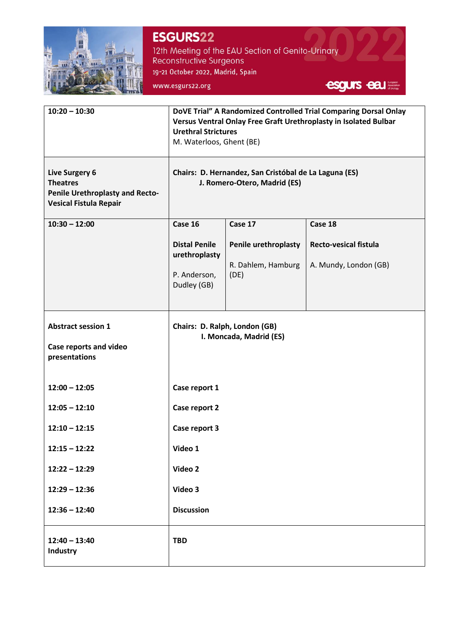

**ESGURS22** 12th Meeting of the EAU Section of Genito-Urinary<br>Reconstructive Surgeons 19-21 October 2022, Madrid, Spain www.esgurs22.org

esgurs eau

| $10:20 - 10:30$                                                                                              | DoVE Trial" A Randomized Controlled Trial Comparing Dorsal Onlay<br>Versus Ventral Onlay Free Graft Urethroplasty in Isolated Bulbar<br><b>Urethral Strictures</b><br>M. Waterloos, Ghent (BE) |                                                    |                                                       |
|--------------------------------------------------------------------------------------------------------------|------------------------------------------------------------------------------------------------------------------------------------------------------------------------------------------------|----------------------------------------------------|-------------------------------------------------------|
| <b>Live Surgery 6</b><br><b>Theatres</b><br>Penile Urethroplasty and Recto-<br><b>Vesical Fistula Repair</b> | Chairs: D. Hernandez, San Cristóbal de La Laguna (ES)<br>J. Romero-Otero, Madrid (ES)                                                                                                          |                                                    |                                                       |
| $10:30 - 12:00$                                                                                              | Case 16<br>Case 17<br>Case 18                                                                                                                                                                  |                                                    |                                                       |
|                                                                                                              | <b>Distal Penile</b><br>urethroplasty<br>P. Anderson,<br>Dudley (GB)                                                                                                                           | Penile urethroplasty<br>R. Dahlem, Hamburg<br>(DE) | <b>Recto-vesical fistula</b><br>A. Mundy, London (GB) |
| <b>Abstract session 1</b><br>Case reports and video<br>presentations                                         | Chairs: D. Ralph, London (GB)<br>I. Moncada, Madrid (ES)                                                                                                                                       |                                                    |                                                       |
| $12:00 - 12:05$                                                                                              | Case report 1                                                                                                                                                                                  |                                                    |                                                       |
| $12:05 - 12:10$                                                                                              | Case report 2                                                                                                                                                                                  |                                                    |                                                       |
| $12:10 - 12:15$                                                                                              | Case report 3                                                                                                                                                                                  |                                                    |                                                       |
| $12:15 - 12:22$                                                                                              | Video 1                                                                                                                                                                                        |                                                    |                                                       |
| $12:22 - 12:29$                                                                                              | Video 2                                                                                                                                                                                        |                                                    |                                                       |
| $12:29 - 12:36$                                                                                              | Video 3                                                                                                                                                                                        |                                                    |                                                       |
| $12:36 - 12:40$                                                                                              | <b>Discussion</b>                                                                                                                                                                              |                                                    |                                                       |
| $12:40 - 13:40$<br><b>Industry</b>                                                                           | <b>TBD</b>                                                                                                                                                                                     |                                                    |                                                       |